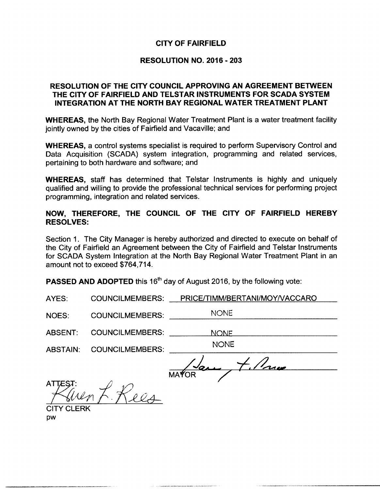# CITY OF FAIRFIELD

# RESOLUTION NO. 2016 - 203

# RESOLUTION OF THE CITY COUNCIL APPROVING AN AGREEMENT BETWEEN THE CITY OF FAIRFIELD AND TELSTAR INSTRUMENTS FOR SCADA SYSTEM INTEGRATION AT THE NORTH BAY REGIONAL WATER TREATMENT PLANT

WHEREAS, the North Bay Regional Water Treatment Plant is a water treatment facility jointly owned by the cities of Fairfield and Vacaville; and

WHEREAS, a control systems specialist is required to perform Supervisory Control and Data Acquisition (SCADA) system integration, programming and related services. pertaining to both hardware and software; and

WHEREAS, staff has determined that Telstar Instruments is highly and uniquely qualified and willing to provide the professional technical services for performing project programming, integration and related services.

# NOW, THEREFORE, THE COUNCIL OF THE CITY OF FAIRFIELD HEREBY RESOLVES:

Section 1. The City Manager is hereby authorized and directed to execute on behalf of the City of Fairfield an Agreement between the City of Fairfield and Telstar Instruments for SCADA System Integration at the North Bay Regional Water Treatment Plant in an amount not to exceed \$764,714.

**PASSED AND ADOPTED** this 16<sup>th</sup> day of August 2016, by the following vote:

| <b>COUNCILMEMBERS:</b> | PRICE/TIMM/BERTANI/MOY/VACCARO |
|------------------------|--------------------------------|
| <b>COUNCILMEMBERS:</b> | <b>NONE</b>                    |
| <b>COUNCILMEMBERS:</b> | <b>NONE</b>                    |
| <b>COUNCILMEMBERS:</b> | <b>NONE</b>                    |
|                        |                                |
|                        | <b>MAYOR</b>                   |
|                        |                                |
|                        |                                |
|                        |                                |
|                        | <b>TY CLERK</b>                |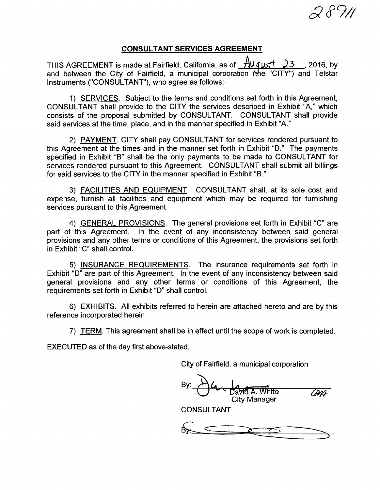# $7\%$

#### CONSULTANT SERVICES AGREEMENT

THIS AGREEMENT is made at Fairfield, California, as of  $\frac{\text{Auq}_{\text{M5}}}{4.23}$ , 2016, by and between the City of Fairfield, <sup>a</sup> municipal corporation (the "CITY") and Telstar Instruments ("CONSULTANT"), who agree as follows:

1) SERVICES. Subject to the terms and conditions set forth in this Agreement, CONSULTANT shall provide to the CITY the services described in Exhibit "A," which consists of the proposal submitted by CONSULTANT. CONSULTANT shall provide said services at the time, place, and in the manner specified in Exhibit "A."

2) PAYMENT. CITY shall pay CONSULTANT for services rendered pursuant to this Agreement at the times and in the manner set forth in Exhibit "B." The payments specified in Exhibit "B" shall be the only payments to be made to CONSULTANT for services rendered pursuant to this Agreement. CONSULTANT shall submit all billings for said services to the CITY in the manner specified in Exhibit "B."

3) FACILITIES AND EQUIPMENT. CONSULTANT shall, at its sole cost and expense, furnish all facilities and equipment which may be required for furnishing services pursuant to this Agreement.

4) GENERAL PROVISIONS. The general provisions set forth in Exhibit "C" are part of this Agreement. In the event of any inconsistency between said general provisions and any other terms or conditions of this Agreement, the provisions set forth in Exhibit "C" shall control.

5) INSURANCE REQUIREMENTS. The insurance requirements set forth in Exhibit "D" are part of this Agreement. In the event of any inconsistency between said general provisions and any other terms or conditions of this Agreement, the requirements set forth in Exhibit "D" shall control.

6) EXHIBITS. All exhibits referred to herein are attached hereto and are by this reference incorporated herein.

7) TERM. This agreement shall be in effect until the scope of work is completed.

EXECUTED as of the day first above-stated.

City of Fairfield, a municipal corporation

 $\mathcal{B}$ y.  $\bigcup \mathcal{U}$   $\bigcup$   $\bigcup$   $\bigcup$   $\bigcup$   $\bigcup$   $\bigcup$   $\bigcup$   $\bigcup$   $\bigcup$   $\bigcup$   $\bigcup$   $\bigcup$   $\bigcup$   $\bigcup$   $\bigcup$   $\bigcup$   $\bigcup$   $\bigcup$   $\bigcup$   $\bigcup$   $\bigcup$   $\bigcup$   $\bigcup$   $\bigcup$   $\bigcup$   $\bigcup$   $\bigcup$   $\bigcup$   $\bigcup$   $\bigcup$   $\bigcup$   $\bigcup$   $\bigcup$  City Manager

CONSULTANT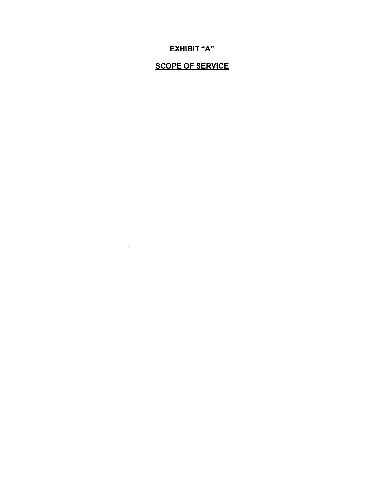# SCOPE OF SERVICE

 $\sim$   $\epsilon$   $^{-1}$ 

EXHIBIT "A"

 $\hat{\mathcal{A}}$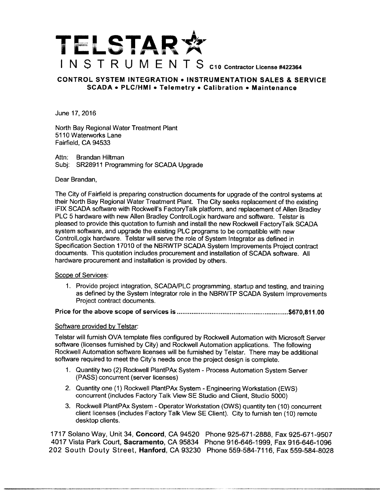

#### CONTROL SYSTEM INTEGRATION • INSTRUMENTATION SALES & SERVICE SCADA • PLC/HMI • Telemetry • Calibration • Maintenance

June 17, 2016

North Bay Regional Water Treatment Plant 5110 Waterworks Lane Fairfield, CA 94533

Attn: Brandan Hiltman Subj: SR28911 Programming for SCADA Upgrade

#### Dear Brandan,

The City of Fairfield is preparing construction documents for upgrade of the control systems at their North Bay Regional Water Treatment Plant. The City seeks replacement of the existing iFIX SCADA software with Rockwell's FactoryTalk platform, and replacement of Allen Bradley PLC 5 hardware with new Allen Bradley ControlLogix hardware and software. Telstar is pleased to provide this quotation to furnish and install the new Rockwell FactoryTalk SCADA system software, and upgrade the existing PLC programs to be compatible with new ControlLogix hardware. Telstar will serve the role of System Integrator as defined in Specification Section 17010 of the NBRWTP SCADA System Improvements Project contract documents. This quotation includes procurement and installation of SCADA software. All hardware procurement and installation is provided by others.

#### Scope of Services:

1. Provide project integration, SCADA/PLC programming, startup and testing, and training as defined by the System Integrator role in the NBRWTP SCADA System Improvements Project contract documents.

Price for the above scope of services is 670,811. 00

#### Software provided by Telstar:

Telstar will furnish OVA template files configured by Rockwell Automation with Microsoft Server software (licenses furnished by City) and Rockwell Automation applications. The following Rockwell Automation software licenses will be furnished by Telstar. There may be additional software required to meet the City's needs once the project design is complete.

- 1. Quantity two (2) Rockwell PlantPAx System Process Automation System Server PASS) concurrent( server licenses)
- 2. Quantity one (1) Rockwell PlantPAx System Engineering Workstation (EWS) concurrent( includes Factory Talk View SE Studio and Client, Studio 5000)
- 3. Rockwell PlantPAx System Operator Workstation ( OWS) quantity ten ( 10) concurrent client licenses (includes Factory Talk View SE Client). City to furnish ten ( 10) remote desktop clients.

1717 Solano Way, Unit 34, Concord, CA 94520 Phone 925-671-2888, Fax 925-671-9507 4017 Vista Park Court, Sacramento, CA 95834 Phone 916- 646- 1999, Fax 916-646- 1096 202 South Douty Street, Hanford, CA 93230 Phone 559-584-7116, Fax 559-584-8028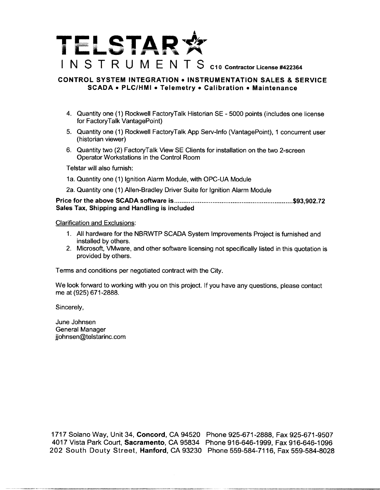# STAR\*  $\blacktriangleright$  $L$ . INSTRUMENTS C10 Contractor License #422364

#### CONTROL SYSTEM INTEGRATION • INSTRUMENTATION SALES & SERVICE SCADA • PLC/HMI • Telemetry • Calibration • Maintenance

- 4. Quantity one( 1) Rockwell FactoryTalk Historian SE 5000 points( includes one license for FactoryTalk VantagePoint)
- 5. Quantity one (1) Rockwell FactoryTalk App Serv-Info (VantagePoint), 1 concurrent user historian viewer)
- 6. Quantity two (2) FactoryTalk View SE Clients for installation on the two 2-screen Operator Workstations in the Control Room

Telstar will also furnish:

- 1a. Quantity one (1) Ignition Alarm Module, with OPC-UA Module
- 2a. Quantity one (1) Allen-Bradley Driver Suite for Ignition Alarm Module

Price for the above SCADA software is 93,902.72 Sales Tax, Shipping and Handling is included

Clarification and Exclusions:

- 1. All hardware for the NBRWTP SCADA System Improvements Project is furnished and installed by others.
- 2. Microsoft, VMware, and other software licensing not specifically listed in this quotation is provided by others.

Terms and conditions per negotiated contract with the City.

We look forward to working with you on this project. If you have any questions, please contact me at (925) 671-2888.

Sincerely,

June Johnsen General Manager jjohnsen@telstarinc.com

1717 Solano Way, Unit 34, Concord, CA 94520 Phone 925-671-2888, Fax 925-671-9507 4017 Vista Park Court, Sacramento, CA 95834 Phone 916-646- 1999, Fax 916-646- 1096 202 South Douty Street, Hanford, CA 93230 Phone 559-584-7116, Fax 559-584-8028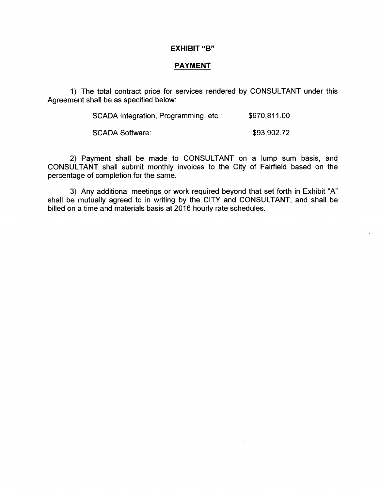#### **EXHIBIT "B"**

 $\hat{\boldsymbol{\theta}}$ 

#### **PAYMENT**

1) The total contract price for services rendered by CONSULTANT under this Agreement shall be as specified below:

| SCADA Integration, Programming, etc.: | \$670,811.00 |
|---------------------------------------|--------------|
| <b>SCADA Software:</b>                | \$93,902.72  |

2) Payment shall be made to CONSULTANT on a lump sum basis, and CONSULTANT shall submit monthly invoices to the City of Fairfield based on the percentage of completion for the same.

3) Any additional meetings or work required beyond that set forth in Exhibit "A" shall be mutually agreed to in writing by the CITY and CONSULTANT, and shall be billed on a time and materials basis at 2016 hourly rate schedules.

 $\sim$   $\sim$ 

 $\sim$   $\sim$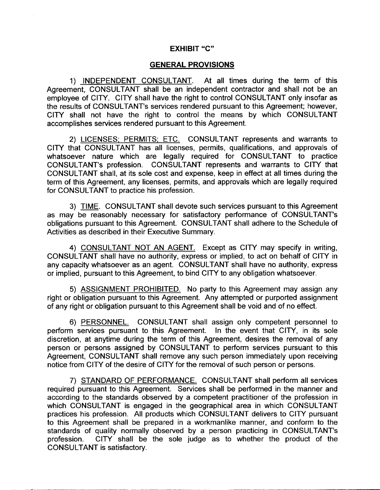#### **EXHIBIT "C"**

#### GENERAL PROVISIONS

1) INDEPENDENT CONSULTANT. At all times during the term of this Agreement, CONSULTANT shall be an independent contractor and shall not be an employee of CITY. CITY shall have the right to control CONSULTANT only insofar as the results of CONSULTANT's services rendered pursuant to this Agreement; however, CITY shall not have the right to control the means by which CONSULTANT accomplishes services rendered pursuant to this Agreement.

2) LICENSES; PERMITS; ETC. CONSULTANT represents and warrants to CITY that CONSULTANT has all licenses, permits, qualifications, and approvals of whatsoever nature which are legally required for CONSULTANT to practice CONSULTANT's profession. CONSULTANT represents and warrants to CITY that CONSULTANT shall, at its sole cost and expense, keep in effect at all times during the term of this Agreement, any licenses, permits, and approvals which are legally required for CONSULTANT to practice his profession.

3) TIME. CONSULTANT shall devote such services pursuant to this Agreement as may be reasonably necessary for satisfactory performance of CONSULTANT's obligations pursuant to this Agreement. CONSULTANT shall adhere to the Schedule of Activities as described in their Executive Summary.

4) CONSULTANT NOT AN AGENT. Except as CITY may specify in writing, CONSULTANT shall have no authority, express or implied, to act on behalf of CITY in any capacity whatsoever as an agent. CONSULTANT shall have no authority, express or implied, pursuant to this Agreement, to bind CITY to any obligation whatsoever.

5) ASSIGNMENT PROHIBITED. No party to this Agreement may assign any right or obligation pursuant to this Agreement. Any attempted or purported assignment of any right or obligation pursuant to this Agreement shall be void and of no effect.

6) PERSONNEL. CONSULTANT shall assign only competent personnel to perform services pursuant to this Agreement. In the event that CITY, in its sole discretion, at anytime during the term of this Agreement, desires the removal of any person or persons assigned by CONSULTANT to perform services pursuant to this Agreement, CONSULTANT shall remove any such person immediately upon receiving notice from CITY of the desire of CITY for the removal of such person or persons.

7) STANDARD OF PERFORMANCE. CONSULTANT shall perform all services required pursuant to this Agreement. Services shall be performed in the manner and according to the standards observed by a competent practitioner of the profession in which CONSULTANT is engaged in the geographical area in which CONSULTANT practices his profession. All products which CONSULTANT delivers to CITY pursuant to this Agreement shall be prepared in a workmanlike manner, and conform to the standards of quality normally observed by a person practicing in CONSULTANT's CITY shall be the sole judge as to whether the product of the CONSULTANT is satisfactory.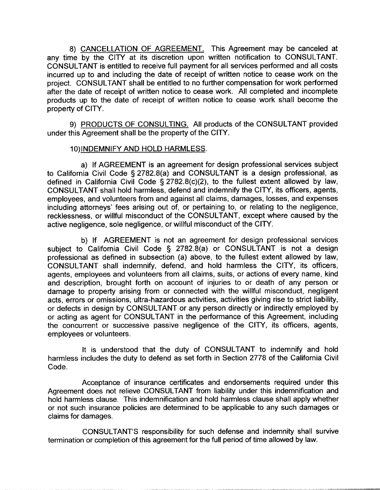8) CANCELLATION OF AGREEMENT. This Agreement may be canceled at any time by the CITY at its discretion upon written notification to CONSULTANT. CONSULTANT is entitled to receive full payment for all services performed and all costs incurred up to and including the date of receipt of written notice to cease work on the project. CONSULTANT shall be entitled to no further compensation for work performed after the date of receipt of written notice to cease work. All completed and incomplete products up to the date of receipt of written notice to cease work shall become the property of CITY.

9) PRODUCTS OF CONSULTING. All products of the CONSULTANT provided under this Agreement shall be the property of the CITY.

#### 10) INDEMNIFY AND HOLD HARMLESS.

a) If AGREEMENT is an agreement for design professional services subject to California Civil Code § 2782.8(a) and CONSULTANT is a design professional, as defined in California Civil Code  $\S$  2782.8(c)(2), to the fullest extent allowed by law, CONSULTANT shall hold harmless, defend and indemnify the CITY, its officers, agents, employees, and volunteers from and against all claims, damages, losses, and expenses including attorneys' fees arising out of, or pertaining to, or relating to the negligence, recklessness, or willful misconduct of the CONSULTANT, except where caused by the active negligence, sole negligence, or willful misconduct of the CITY.

b) If AGREEMENT is not an agreement for design professional services subject to California Civil Code § 2782.8(a) or CONSULTANT is not a design professional as defined in subsection (a) above, to the fullest extent allowed by law, CONSULTANT shall indemnify, defend, and hold harmless the CITY, its officers, agents, employees and volunteers from all claims, suits, or actions of every name, kind and description, brought forth on account of injuries to or death of any person or damage to property arising from or connected with the willful misconduct, negligent acts, errors or omissions, ultra- hazardous activities, activities giving rise to strict liability, or defects in design by CONSULTANT or any person directly or indirectly employed by or acting as agent for CONSULTANT in the performance of this Agreement, including the concurrent or successive passive negligence of the CITY, its officers, agents, employees or volunteers.

It is understood that the duty of CONSULTANT to indemnify and hold harmless includes the duty to defend as set forth in Section 2778 of the California Civil Code.

Acceptance of insurance certificates and endorsements required under this Agreement does not relieve CONSULTANT from liability under this indemnification and hold harmless clause. This indemnification and hold harmless clause shall apply whether or not such insurance policies are determined to be applicable to any such damages or claims for damages.

CONSULTANT'S responsibility for such defense and indemnity shall survive termination or completion of this agreement for the full period of time allowed by law.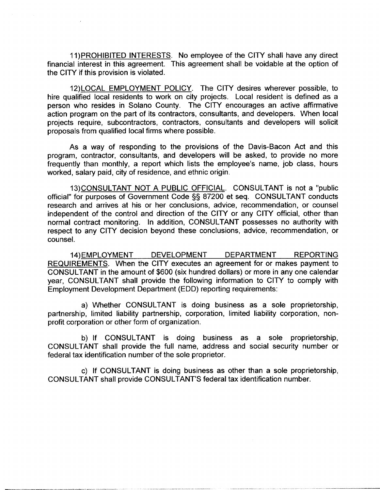11) PROHIBITED INTERESTS. No employee of the CITY shall have any direct financial interest in this agreement. This agreement shall be voidable at the option of the CITY if this provision is violated.

12) LOCAL EMPLOYMENT POLICY. The CITY desires wherever possible, to hire qualified local residents to work on city projects. Local resident is defined as a person who resides in Solano County. The CITY encourages an active affirmative action program on the part of its contractors, consultants, and developers. When local projects require, subcontractors, contractors, consultants and developers will solicit proposals from qualified local firms where possible.

As a way of responding to the provisions of the Davis-Bacon Act and this program, contractor, consultants, and developers will be asked, to provide no more frequently than monthly, <sup>a</sup> report which lists the employee's name, job class, hours worked, salary paid, city of residence, and ethnic origin.

13) CONSULTANT NOT A PUBLIC OFFICIAL. CONSULTANT is not a "public official" for purposes of Government Code §§ 87200 et seq. CONSULTANT conducts research and arrives at his or her conclusions, advice, recommendation, or counsel independent of the control and direction of the CITY or any CITY official, other than normal contract monitoring. In addition, CONSULTANT possesses no authority with respect to any CITY decision beyond these conclusions, advice, recommendation, or counsel.

14) EMPLOYMENT DEVELOPMENT DEPARTMENT REPORTING REQUIREMENTS. When the CITY executes an agreement for or makes payment to CONSULTANT in the amount of \$600 ( six hundred dollars) or more in any one calendar year, CONSULTANT shall provide the following information to CITY to comply with Employment Development Department (EDD) reporting requirements:

a) Whether CONSULTANT is doing business as a sole proprietorship, partnership, limited liability partnership, corporation, limited liability corporation, nonprofit corporation or other form of organization.

b) If CONSULTANT is doing business as <sup>a</sup> sole proprietorship, CONSULTANT shall provide the full name, address and social security number or federal tax identification number of the sole proprietor.

c) If CONSULTANT is doing business as other than a sole proprietorship, CONSULTANT shall provide CONSULTANT'S federal tax identification number.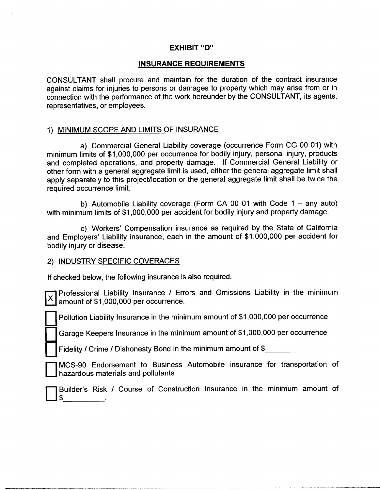# **EXHIBIT "D"**

# INSURANCE REQUIREMENTS

CONSULTANT shall procure and maintain for the duration of the contract insurance against claims for injuries to persons or damages to property which may arise from or in connection with the performance of the work hereunder by the CONSULTANT, its agents, representatives, or employees.

# 1) MINIMUM SCOPE AND LIMITS OF INSURANCE

a) Commercial General Liability coverage ( occurrence Form CG 00 01) with minimum limits of \$1,000,000 per occurrence for bodily injury, personal injury, products and completed operations, and property damage. If Commercial General Liability or other form with a general aggregate limit is used, either the general aggregate limit shall apply separately to this project/location or the general aggregate limit shall be twice the required occurrence limit.

b) Automobile Liability coverage (Form CA 00 01 with Code  $1 -$  any auto) with minimum limits of \$1,000,000 per accident for bodily injury and property damage.

c) Workers' Compensation insurance as required by the State of California and Employers' Liability insurance, each in the amount of \$1,000,000 per accident for bodily injury or disease.

## 2) INDUSTRY SPECIFIC COVERAGES

 $\Box$ 

If checked below, the following insurance is also required.

Professional Liability Insurance / Errors and Omissions Liability in the minimum amount of \$1,000,000 per occurrence.

Pollution Liability Insurance in the minimum amount of \$1,000,000 per occurrence

Garage Keepers Insurance in the minimum amount of \$1,000,000 per occurrence

Fidelity/ Crime / Dishonesty Bond in the minimum amount of \$

MCS- 90 Endorsement to Business Automobile insurance for transportation of hazardous materials and pollutants

Builder's Risk / Course of Construction Insurance in the minimum amount of\$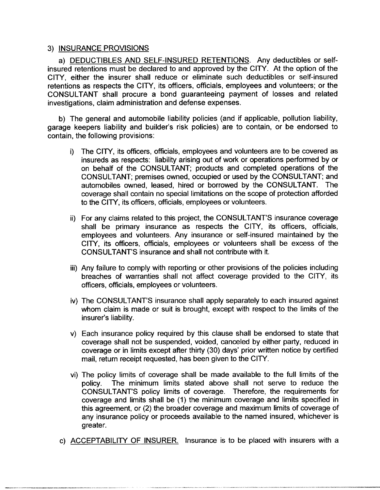## 3) INSURANCE PROVISIONS

a) DEDUCTIBLES AND SELF-INSURED RETENTIONS. Any deductibles or selfinsured retentions must be declared to and approved by the CITY. At the option of the CITY, either the insurer shall reduce or eliminate such deductibles or self-insured retentions as respects the CITY, its officers, officials, employees and volunteers; or the CONSULTANT shall procure a bond guaranteeing payment of losses and related investigations, claim administration and defense expenses.

b) The general and automobile liability policies (and if applicable, pollution liability, garage keepers liability and builder'<sup>s</sup> risk policies) are to contain, or be endorsed to contain, the following provisions:

- i) The CITY, its officers, officials, employees and volunteers are to be covered as insureds as respects: liability arising out of work or operations performed by or on behalf of the CONSULTANT; products and completed operations of the CONSULTANT; premises owned, occupied or used by the CONSULTANT; and automobiles owned, leased, hired or borrowed by the CONSULTANT. The coverage shall contain no special limitations on the scope of protection afforded to the CITY, its officers, officials, employees or volunteers.
- ii) For any claims related to this project, the CONSULTANT'S insurance coverage shall be primary insurance as respects the CITY, its officers, officials, employees and volunteers. Any insurance or self-insured maintained by the CITY, its officers, officials, employees or volunteers shall be excess of the CONSULTANT'S insurance and shall not contribute with it.
- iii) Any failure to comply with reporting or other provisions of the policies including breaches of warranties shall not affect coverage provided to the CITY, its officers, officials, employees or volunteers.
- iv) The CONSULTANT'S insurance shall apply separately to each insured against whom claim is made or suit is brought, except with respect to the limits of the insurer's liability.
- v) Each insurance policy required by this clause shall be endorsed to state that coverage shall not be suspended, voided, canceled by either party, reduced in coverage or in limits except after thirty ( 30) days' prior written notice by certified mail, return receipt requested, has been given to the CITY.
- vi) The policy limits of coverage shall be made available to the full limits of the policy. The minimum limits stated above shall not serve to reduce the CONSULTANT'<sup>S</sup> policy limits of coverage. Therefore, the requirements for coverage and limits shall be ( 1) the minimum coverage and limits specified in this agreement, or (2) the broader coverage and maximum limits of coverage of any insurance policy or proceeds available to the named insured, whichever is greater.
- c) ACCEPTABILITY OF INSURER. Insurance is to be placed with insurers with a